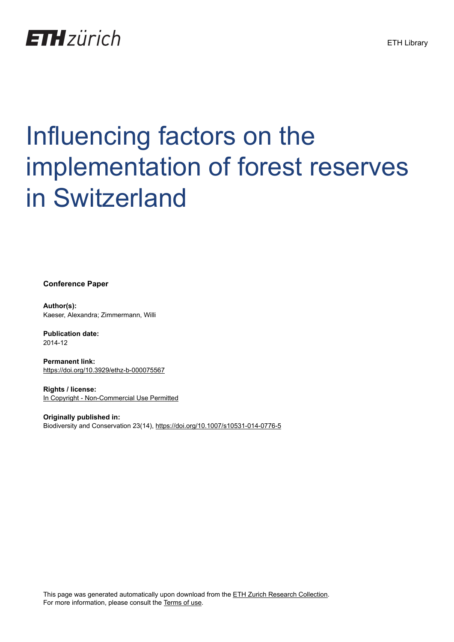

# Influencing factors on the implementation of forest reserves in Switzerland

**Conference Paper**

**Author(s):** Kaeser, Alexandra; Zimmermann, Willi

**Publication date:** 2014-12

**Permanent link:** <https://doi.org/10.3929/ethz-b-000075567>

**Rights / license:** [In Copyright - Non-Commercial Use Permitted](http://rightsstatements.org/page/InC-NC/1.0/)

**Originally published in:** Biodiversity and Conservation 23(14),<https://doi.org/10.1007/s10531-014-0776-5>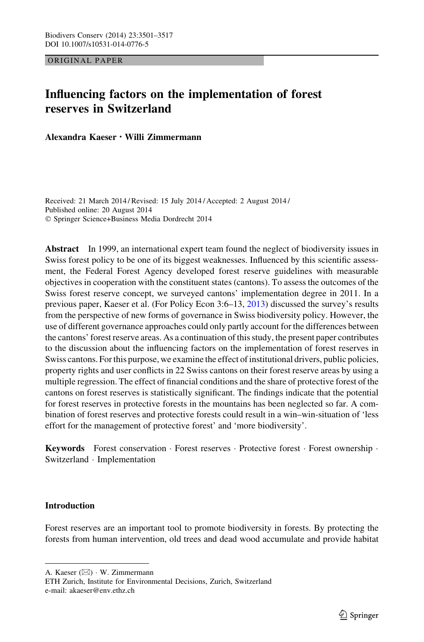ORIGINAL PAPER

# Influencing factors on the implementation of forest reserves in Switzerland

Alexandra Kaeser • Willi Zimmermann

Received: 21 March 2014 / Revised: 15 July 2014 / Accepted: 2 August 2014 / Published online: 20 August 2014 - Springer Science+Business Media Dordrecht 2014

Abstract In 1999, an international expert team found the neglect of biodiversity issues in Swiss forest policy to be one of its biggest weaknesses. Influenced by this scientific assessment, the Federal Forest Agency developed forest reserve guidelines with measurable objectives in cooperation with the constituent states (cantons). To assess the outcomes of the Swiss forest reserve concept, we surveyed cantons' implementation degree in 2011. In a previous paper, Kaeser et al. (For Policy Econ 3:6–13, [2013\)](#page-16-0) discussed the survey's results from the perspective of new forms of governance in Swiss biodiversity policy. However, the use of different governance approaches could only partly account for the differences between the cantons' forest reserve areas. As a continuation of this study, the present paper contributes to the discussion about the influencing factors on the implementation of forest reserves in Swiss cantons. For this purpose, we examine the effect of institutional drivers, public policies, property rights and user conflicts in 22 Swiss cantons on their forest reserve areas by using a multiple regression. The effect of financial conditions and the share of protective forest of the cantons on forest reserves is statistically significant. The findings indicate that the potential for forest reserves in protective forests in the mountains has been neglected so far. A combination of forest reserves and protective forests could result in a win–win-situation of 'less effort for the management of protective forest' and 'more biodiversity'.

Keywords Forest conservation · Forest reserves · Protective forest · Forest ownership · Switzerland - Implementation

# Introduction

Forest reserves are an important tool to promote biodiversity in forests. By protecting the forests from human intervention, old trees and dead wood accumulate and provide habitat

A. Kaeser (&) - W. Zimmermann

ETH Zurich, Institute for Environmental Decisions, Zurich, Switzerland e-mail: akaeser@env.ethz.ch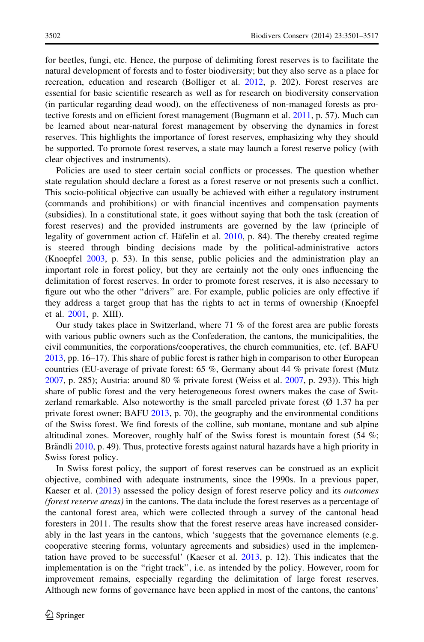for beetles, fungi, etc. Hence, the purpose of delimiting forest reserves is to facilitate the natural development of forests and to foster biodiversity; but they also serve as a place for recreation, education and research (Bolliger et al. [2012,](#page-16-0) p. 202). Forest reserves are essential for basic scientific research as well as for research on biodiversity conservation (in particular regarding dead wood), on the effectiveness of non-managed forests as protective forests and on efficient forest management (Bugmann et al. [2011,](#page-16-0) p. 57). Much can be learned about near-natural forest management by observing the dynamics in forest reserves. This highlights the importance of forest reserves, emphasizing why they should be supported. To promote forest reserves, a state may launch a forest reserve policy (with clear objectives and instruments).

Policies are used to steer certain social conflicts or processes. The question whether state regulation should declare a forest as a forest reserve or not presents such a conflict. This socio-political objective can usually be achieved with either a regulatory instrument (commands and prohibitions) or with financial incentives and compensation payments (subsidies). In a constitutional state, it goes without saying that both the task (creation of forest reserves) and the provided instruments are governed by the law (principle of legality of government action cf. Häfelin et al. [2010](#page-16-0), p. 84). The thereby created regime is steered through binding decisions made by the political-administrative actors (Knoepfel [2003,](#page-17-0) p. 53). In this sense, public policies and the administration play an important role in forest policy, but they are certainly not the only ones influencing the delimitation of forest reserves. In order to promote forest reserves, it is also necessary to figure out who the other ''drivers'' are. For example, public policies are only effective if they address a target group that has the rights to act in terms of ownership (Knoepfel et al. [2001](#page-17-0), p. XIII).

Our study takes place in Switzerland, where 71 % of the forest area are public forests with various public owners such as the Confederation, the cantons, the municipalities, the civil communities, the corporations/cooperatives, the church communities, etc. (cf. BAFU [2013,](#page-16-0) pp. 16–17). This share of public forest is rather high in comparison to other European countries (EU-average of private forest: 65 %, Germany about 44 % private forest (Mutz [2007,](#page-17-0) p. 285); Austria: around 80 % private forest (Weiss et al. [2007,](#page-17-0) p. 293)). This high share of public forest and the very heterogeneous forest owners makes the case of Switzerland remarkable. Also noteworthy is the small parceled private forest  $(\emptyset$  1.37 ha per private forest owner; BAFU [2013,](#page-16-0) p. 70), the geography and the environmental conditions of the Swiss forest. We find forests of the colline, sub montane, montane and sub alpine altitudinal zones. Moreover, roughly half of the Swiss forest is mountain forest  $(54\%;$ Brändli [2010](#page-16-0), p. 49). Thus, protective forests against natural hazards have a high priority in Swiss forest policy.

In Swiss forest policy, the support of forest reserves can be construed as an explicit objective, combined with adequate instruments, since the 1990s. In a previous paper, Kaeser et al. [\(2013](#page-16-0)) assessed the policy design of forest reserve policy and its outcomes (forest reserve areas) in the cantons. The data include the forest reserves as a percentage of the cantonal forest area, which were collected through a survey of the cantonal head foresters in 2011. The results show that the forest reserve areas have increased considerably in the last years in the cantons, which 'suggests that the governance elements (e.g. cooperative steering forms, voluntary agreements and subsidies) used in the implementation have proved to be successful' (Kaeser et al. [2013](#page-16-0), p. 12). This indicates that the implementation is on the ''right track'', i.e. as intended by the policy. However, room for improvement remains, especially regarding the delimitation of large forest reserves. Although new forms of governance have been applied in most of the cantons, the cantons'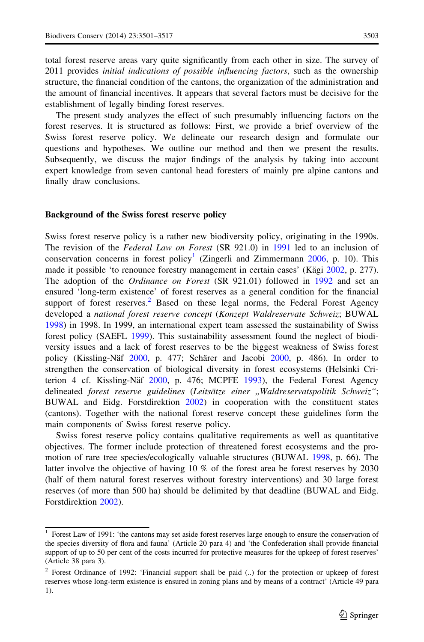total forest reserve areas vary quite significantly from each other in size. The survey of 2011 provides *initial indications of possible influencing factors*, such as the ownership structure, the financial condition of the cantons, the organization of the administration and the amount of financial incentives. It appears that several factors must be decisive for the establishment of legally binding forest reserves.

The present study analyzes the effect of such presumably influencing factors on the forest reserves. It is structured as follows: First, we provide a brief overview of the Swiss forest reserve policy. We delineate our research design and formulate our questions and hypotheses. We outline our method and then we present the results. Subsequently, we discuss the major findings of the analysis by taking into account expert knowledge from seven cantonal head foresters of mainly pre alpine cantons and finally draw conclusions.

#### Background of the Swiss forest reserve policy

Swiss forest reserve policy is a rather new biodiversity policy, originating in the 1990s. The revision of the *Federal Law on Forest* (SR 921.0) in [1991](#page-17-0) led to an inclusion of conservation concerns in forest policy<sup>1</sup> (Zingerli and Zimmermann [2006](#page-17-0), p. 10). This made it possible 'to renounce forestry management in certain cases' (Kägi [2002](#page-16-0), p. 277). The adoption of the *Ordinance on Forest* (SR 921.01) followed in [1992](#page-17-0) and set an ensured 'long-term existence' of forest reserves as a general condition for the financial support of forest reserves.<sup>2</sup> Based on these legal norms, the Federal Forest Agency developed a national forest reserve concept (Konzept Waldreservate Schweiz; BUWAL [1998\)](#page-16-0) in 1998. In 1999, an international expert team assessed the sustainability of Swiss forest policy (SAEFL [1999\)](#page-17-0). This sustainability assessment found the neglect of biodiversity issues and a lack of forest reserves to be the biggest weakness of Swiss forest policy (Kissling-Naïf [2000,](#page-16-0) p. 477; Schaïrer and Jacobi [2000](#page-17-0), p. 486). In order to strengthen the conservation of biological diversity in forest ecosystems (Helsinki Criterion 4 cf. Kissling-Näf  $2000$ , p. 476; MCPFE [1993\)](#page-17-0), the Federal Forest Agency delineated forest reserve guidelines (Leitsätze einer "Waldreservatspolitik Schweiz"; BUWAL and Eidg. Forstdirektion [2002](#page-16-0)) in cooperation with the constituent states (cantons). Together with the national forest reserve concept these guidelines form the main components of Swiss forest reserve policy.

Swiss forest reserve policy contains qualitative requirements as well as quantitative objectives. The former include protection of threatened forest ecosystems and the promotion of rare tree species/ecologically valuable structures (BUWAL [1998](#page-16-0), p. 66). The latter involve the objective of having 10 % of the forest area be forest reserves by 2030 (half of them natural forest reserves without forestry interventions) and 30 large forest reserves (of more than 500 ha) should be delimited by that deadline (BUWAL and Eidg. Forstdirektion [2002\)](#page-16-0).

<sup>&</sup>lt;sup>1</sup> Forest Law of 1991: 'the cantons may set aside forest reserves large enough to ensure the conservation of the species diversity of flora and fauna' (Article 20 para 4) and 'the Confederation shall provide financial support of up to 50 per cent of the costs incurred for protective measures for the upkeep of forest reserves' (Article 38 para 3).

<sup>&</sup>lt;sup>2</sup> Forest Ordinance of 1992: 'Financial support shall be paid (..) for the protection or upkeep of forest reserves whose long-term existence is ensured in zoning plans and by means of a contract' (Article 49 para 1).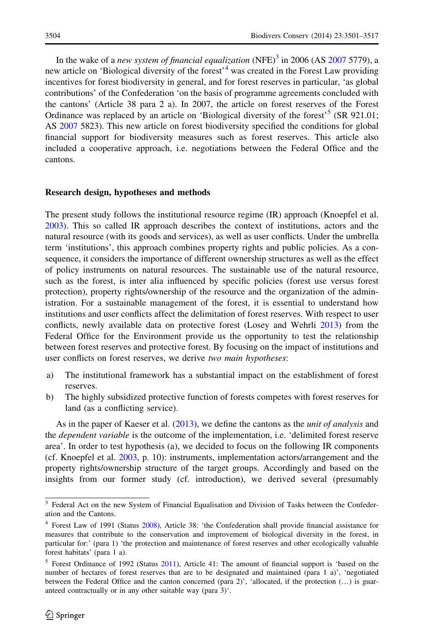In the wake of a new system of financial equalization  $(NFE)^3$  in 2006 (AS [2007](#page-17-0) 5779), a new article on 'Biological diversity of the forest'<sup>4</sup> was created in the Forest Law providing incentives for forest biodiversity in general, and for forest reserves in particular, 'as global contributions' of the Confederation 'on the basis of programme agreements concluded with the cantons' (Article 38 para 2 a). In 2007, the article on forest reserves of the Forest Ordinance was replaced by an article on 'Biological diversity of the forest'<sup>5</sup> (SR 921.01; AS [2007](#page-17-0) 5823). This new article on forest biodiversity specified the conditions for global financial support for biodiversity measures such as forest reserves. This article also included a cooperative approach, i.e. negotiations between the Federal Office and the cantons.

# Research design, hypotheses and methods

The present study follows the institutional resource regime (IR) approach (Knoepfel et al. [2003\)](#page-17-0). This so called IR approach describes the context of institutions, actors and the natural resource (with its goods and services), as well as user conflicts. Under the umbrella term 'institutions', this approach combines property rights and public policies. As a consequence, it considers the importance of different ownership structures as well as the effect of policy instruments on natural resources. The sustainable use of the natural resource, such as the forest, is inter alia influenced by specific policies (forest use versus forest protection), property rights/ownership of the resource and the organization of the administration. For a sustainable management of the forest, it is essential to understand how institutions and user conflicts affect the delimitation of forest reserves. With respect to user conflicts, newly available data on protective forest (Losey and Wehrli [2013\)](#page-17-0) from the Federal Office for the Environment provide us the opportunity to test the relationship between forest reserves and protective forest. By focusing on the impact of institutions and user conflicts on forest reserves, we derive two main hypotheses:

- a) The institutional framework has a substantial impact on the establishment of forest reserves.
- b) The highly subsidized protective function of forests competes with forest reserves for land (as a conflicting service).

As in the paper of Kaeser et al. [\(2013\)](#page-16-0), we define the cantons as the *unit of analysis* and the *dependent variable* is the outcome of the implementation, i.e. 'delimited forest reserve area'. In order to test hypothesis (a), we decided to focus on the following IR components (cf. Knoepfel et al. [2003](#page-17-0), p. 10): instruments, implementation actors/arrangement and the property rights/ownership structure of the target groups. Accordingly and based on the insights from our former study (cf. introduction), we derived several (presumably

<sup>3</sup> Federal Act on the new System of Financial Equalisation and Division of Tasks between the Confederation and the Cantons.

<sup>4</sup> Forest Law of 1991 (Status [2008\)](#page-17-0), Article 38: 'the Confederation shall provide financial assistance for measures that contribute to the conservation and improvement of biological diversity in the forest, in particular for:' (para 1) 'the protection and maintenance of forest reserves and other ecologically valuable forest habitats' (para 1 a).

<sup>5</sup> Forest Ordinance of 1992 (Status [2011](#page-17-0)), Article 41: The amount of financial support is 'based on the number of hectares of forest reserves that are to be designated and maintained (para 1 a)', 'negotiated between the Federal Office and the canton concerned (para 2)', 'allocated, if the protection (…) is guaranteed contractually or in any other suitable way (para 3)'.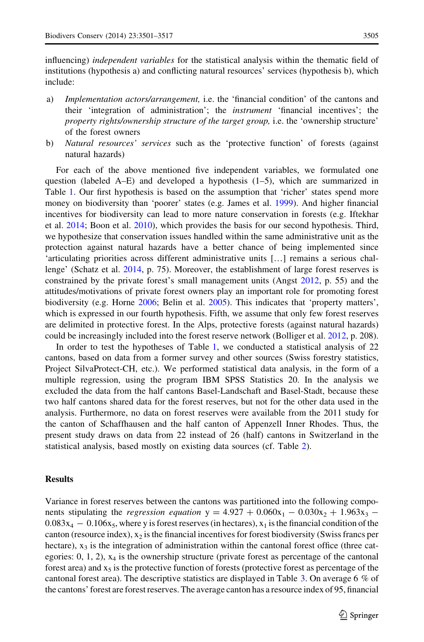influencing) *independent variables* for the statistical analysis within the thematic field of institutions (hypothesis a) and conflicting natural resources' services (hypothesis b), which include:

- a) Implementation actors/arrangement, i.e. the 'financial condition' of the cantons and their 'integration of administration'; the instrument 'financial incentives'; the property rights/ownership structure of the target group, i.e. the 'ownership structure' of the forest owners
- b) Natural resources' services such as the 'protective function' of forests (against natural hazards)

For each of the above mentioned five independent variables, we formulated one question (labeled  $A$ –E) and developed a hypothesis  $(1–5)$ , which are summarized in Table [1](#page-6-0). Our first hypothesis is based on the assumption that 'richer' states spend more money on biodiversity than 'poorer' states (e.g. James et al. [1999\)](#page-16-0). And higher financial incentives for biodiversity can lead to more nature conservation in forests (e.g. Iftekhar et al. [2014;](#page-16-0) Boon et al. [2010\)](#page-16-0), which provides the basis for our second hypothesis. Third, we hypothesize that conservation issues handled within the same administrative unit as the protection against natural hazards have a better chance of being implemented since 'articulating priorities across different administrative units […] remains a serious challenge' (Schatz et al. [2014,](#page-17-0) p. 75). Moreover, the establishment of large forest reserves is constrained by the private forest's small management units (Angst [2012,](#page-16-0) p. 55) and the attitudes/motivations of private forest owners play an important role for promoting forest biodiversity (e.g. Horne [2006](#page-16-0); Belin et al. [2005](#page-16-0)). This indicates that 'property matters', which is expressed in our fourth hypothesis. Fifth, we assume that only few forest reserves are delimited in protective forest. In the Alps, protective forests (against natural hazards) could be increasingly included into the forest reserve network (Bolliger et al. [2012,](#page-16-0) p. 208).

In order to test the hypotheses of Table [1,](#page-6-0) we conducted a statistical analysis of 22 cantons, based on data from a former survey and other sources (Swiss forestry statistics, Project SilvaProtect-CH, etc.). We performed statistical data analysis, in the form of a multiple regression, using the program IBM SPSS Statistics 20. In the analysis we excluded the data from the half cantons Basel-Landschaft and Basel-Stadt, because these two half cantons shared data for the forest reserves, but not for the other data used in the analysis. Furthermore, no data on forest reserves were available from the 2011 study for the canton of Schaffhausen and the half canton of Appenzell Inner Rhodes. Thus, the present study draws on data from 22 instead of 26 (half) cantons in Switzerland in the statistical analysis, based mostly on existing data sources (cf. Table [2\)](#page-7-0).

# Results

Variance in forest reserves between the cantons was partitioned into the following components stipulating the *regression equation*  $y = 4.927 + 0.060x_1 - 0.030x_2 + 1.963x_3$  $0.083x_4 - 0.106x_5$ , where y is forest reserves (in hectares),  $x_1$  is the financial condition of the canton (resource index),  $x_2$  is the financial incentives for forest biodiversity (Swiss francs per hectare),  $x_3$  is the integration of administration within the cantonal forest office (three categories: 0, 1, 2),  $x_4$  is the ownership structure (private forest as percentage of the cantonal forest area) and  $x<sub>5</sub>$  is the protective function of forests (protective forest as percentage of the cantonal forest area). The descriptive statistics are displayed in Table [3](#page-7-0). On average 6 % of the cantons' forest are forest reserves. The average canton has a resource index of 95, financial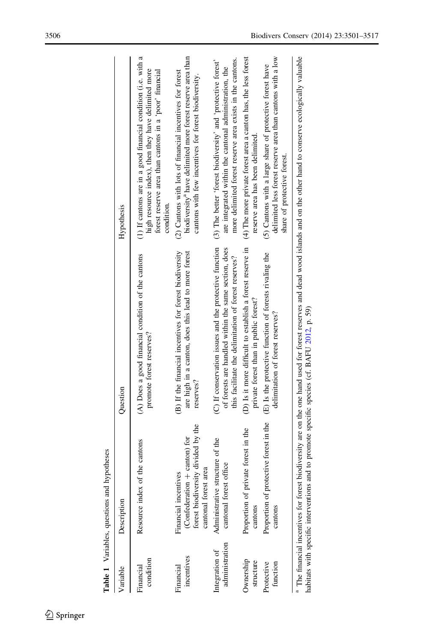<span id="page-6-0"></span>

|                                  | Table 1 Variables, questions and hypotheses                                                                        |                                                                                                                             |                                                                                                                                                                                                                                              |
|----------------------------------|--------------------------------------------------------------------------------------------------------------------|-----------------------------------------------------------------------------------------------------------------------------|----------------------------------------------------------------------------------------------------------------------------------------------------------------------------------------------------------------------------------------------|
| Variable                         | Description                                                                                                        | Question                                                                                                                    | Hypothesis                                                                                                                                                                                                                                   |
| condition<br>Financial           | Resource index of the cantons                                                                                      | (A) Does a good financial condition of the cantons<br>promote forest reserves?                                              | $(1)$ If cantons are in a good financial condition (i.e. with a<br>high resource index), then they have delimited more<br>forest reserve area than cantons in a 'poor' financial<br>condition.                                               |
| incentives<br>Financial          | forest biodiversity divided by the<br>(Confederation + canton) for<br>cantonal forest area<br>Financial incentives | (B) If the financial incentives for forest biodiversity<br>are high in a canton, does this lead to more forest<br>reserves? | biodiversity <sup>"</sup> have delimited more forest reserve area than<br>(2) Cantons with lots of financial incentives for forest<br>cantons with few incentives for forest biodiversity.                                                   |
| administration<br>Integration of | Administrative structure of the<br>cantonal forest office                                                          | of forests are handled within the same section, does<br>this facilitate the delimitation of forest reserves?                | more delimited forest reserve area exists in the cantons.<br>(C) If conservation issues and the protective function $(3)$ The better 'forest biodiversity' and 'protective forest'<br>are integrated within the cantonal administration, the |
| Ownership<br>structure           | Proportion of private forest in the<br>cantons                                                                     | (D) Is it more difficult to establish a forest reserve in<br>private forest than in public forest?                          | (4) The more private forest area a canton has, the less forest<br>reserve area has been delimited.                                                                                                                                           |
| Protective<br>function           | Proportion of protective forest in the<br>cantons                                                                  | (E) Is the protective function of forests rivaling the<br>delimitation of forest reserves?                                  | delimited less forest reserve area than cantons with a low<br>(5) Cantons with a large share of protective forest have<br>share of protective forest.                                                                                        |
|                                  |                                                                                                                    |                                                                                                                             | <sup>3</sup> The financial incentives for forest biodiversity are on the one hand used for forest reserves and dead wood islands and on the other hand to conserve ecologically valuable                                                     |

<sup>a</sup> The financial incentives for forest biodiversity are on the one hand used for forest reserves habitats with specific interventions and to promote specific species (cf. BAFU 2012, p. 59) habitats with specific interventions and to promote specific species (cf. BAFU [2012](#page-16-0), p. 59)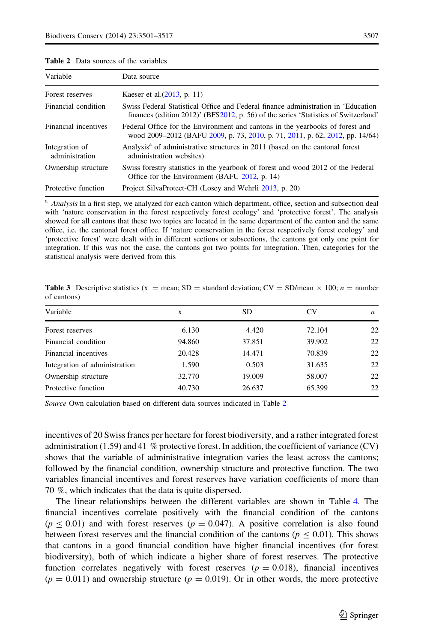| ×<br>v | ×<br>٠ | w<br>۹ |  |
|--------|--------|--------|--|

| Variable                         | Data source                                                                                                                                                              |
|----------------------------------|--------------------------------------------------------------------------------------------------------------------------------------------------------------------------|
| Forest reserves                  | Kaeser et al. (2013, p. 11)                                                                                                                                              |
| Financial condition              | Swiss Federal Statistical Office and Federal finance administration in 'Education<br>finances (edition 2012)' (BFS2012, p. 56) of the series 'Statistics of Switzerland' |
| Financial incentives             | Federal Office for the Environment and cantons in the yearbooks of forest and<br>wood 2009–2012 (BAFU 2009, p. 73, 2010, p. 71, 2011, p. 62, 2012, pp. 14/64)            |
| Integration of<br>administration | Analysis <sup>a</sup> of administrative structures in 2011 (based on the cantonal forest<br>administration websites)                                                     |
| Ownership structure              | Swiss forestry statistics in the yearbook of forest and wood 2012 of the Federal<br>Office for the Environment (BAFU 2012, p. 14)                                        |
| Protective function              | Project SilvaProtect-CH (Losey and Wehrli 2013, p. 20)                                                                                                                   |

<span id="page-7-0"></span>

| <b>Table 2</b> Data sources of the variables |  |
|----------------------------------------------|--|
|----------------------------------------------|--|

 $^{\circ}$  Analysis In a first step, we analyzed for each canton which department, office, section and subsection deal with 'nature conservation in the forest respectively forest ecology' and 'protective forest'. The analysis showed for all cantons that these two topics are located in the same department of the canton and the same office, i.e. the cantonal forest office. If 'nature conservation in the forest respectively forest ecology' and 'protective forest' were dealt with in different sections or subsections, the cantons got only one point for integration. If this was not the case, the cantons got two points for integration. Then, categories for the statistical analysis were derived from this

| Variable                      | $\overline{x}$ | SD.    | CV     | n  |
|-------------------------------|----------------|--------|--------|----|
| Forest reserves               | 6.130          | 4.420  | 72.104 | 22 |
| Financial condition           | 94.860         | 37.851 | 39.902 | 22 |
| Financial incentives          | 20.428         | 14.471 | 70.839 | 22 |
| Integration of administration | 1.590          | 0.503  | 31.635 | 22 |
| Ownership structure           | 32.770         | 19.009 | 58.007 | 22 |
| Protective function           | 40.730         | 26.637 | 65.399 | 22 |

**Table 3** Descriptive statistics ( $\overline{x}$  = mean; SD = standard deviation; CV = SD/mean  $\times$  100; n = number of cantons)

Source Own calculation based on different data sources indicated in Table 2

incentives of 20 Swiss francs per hectare for forest biodiversity, and a rather integrated forest administration (1.59) and 41 % protective forest. In addition, the coefficient of variance (CV) shows that the variable of administrative integration varies the least across the cantons; followed by the financial condition, ownership structure and protective function. The two variables financial incentives and forest reserves have variation coefficients of more than 70 %, which indicates that the data is quite dispersed.

The linear relationships between the different variables are shown in Table [4.](#page-8-0) The financial incentives correlate positively with the financial condition of the cantons  $(p < 0.01)$  and with forest reserves  $(p = 0.047)$ . A positive correlation is also found between forest reserves and the financial condition of the cantons ( $p \le 0.01$ ). This shows that cantons in a good financial condition have higher financial incentives (for forest biodiversity), both of which indicate a higher share of forest reserves. The protective function correlates negatively with forest reserves  $(p = 0.018)$ , financial incentives  $(p = 0.011)$  and ownership structure  $(p = 0.019)$ . Or in other words, the more protective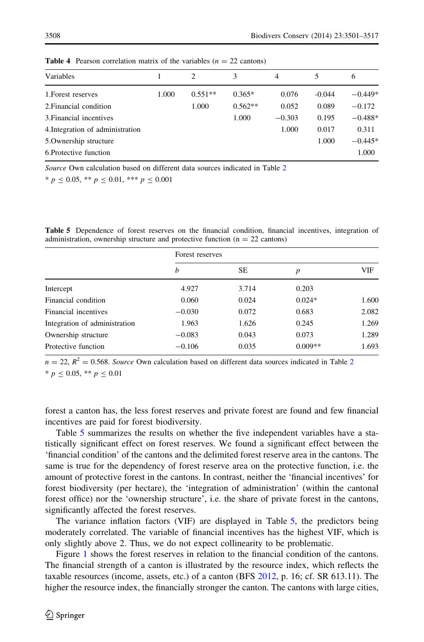| Variables                        |       | $\mathcal{D}_{\mathcal{L}}$ | 3         | $\overline{4}$ | 5        | 6         |
|----------------------------------|-------|-----------------------------|-----------|----------------|----------|-----------|
| 1. Forest reserves               | 1.000 | $0.551**$                   | $0.365*$  | 0.076          | $-0.044$ | $-0.449*$ |
| 2. Financial condition           |       | 1.000                       | $0.562**$ | 0.052          | 0.089    | $-0.172$  |
| 3. Financial incentives          |       |                             | 1.000     | $-0.303$       | 0.195    | $-0.488*$ |
| 4. Integration of administration |       |                             |           | 1.000          | 0.017    | 0.311     |
| 5. Ownership structure           |       |                             |           |                | 1.000    | $-0.445*$ |
| 6. Protective function           |       |                             |           |                |          | 1.000     |

<span id="page-8-0"></span>**Table 4** Pearson correlation matrix of the variables ( $n = 22$  cantons)

Source Own calculation based on different data sources indicated in Table [2](#page-7-0)

 $* p \le 0.05$ ,  $** p \le 0.01$ ,  $*** p \le 0.001$ 

Table 5 Dependence of forest reserves on the financial condition, financial incentives, integration of administration, ownership structure and protective function  $(n = 22 \text{ cantons})$ 

|                               | Forest reserves |       |                  |       |  |  |
|-------------------------------|-----------------|-------|------------------|-------|--|--|
|                               | b               | SЕ    | $\boldsymbol{p}$ | VIF   |  |  |
| Intercept                     | 4.927           | 3.714 | 0.203            |       |  |  |
| Financial condition           | 0.060           | 0.024 | $0.024*$         | 1.600 |  |  |
| Financial incentives          | $-0.030$        | 0.072 | 0.683            | 2.082 |  |  |
| Integration of administration | 1.963           | 1.626 | 0.245            | 1.269 |  |  |
| Ownership structure           | $-0.083$        | 0.043 | 0.073            | 1.289 |  |  |
| Protective function           | $-0.106$        | 0.035 | $0.009**$        | 1.693 |  |  |

 $n = 22$  $n = 22$  $n = 22$ ,  $R^2 = 0.568$ . Source Own calculation based on different data sources indicated in Table 2

\*  $p \le 0.05$ , \*\*  $p \le 0.01$ 

forest a canton has, the less forest reserves and private forest are found and few financial incentives are paid for forest biodiversity.

Table 5 summarizes the results on whether the five independent variables have a statistically significant effect on forest reserves. We found a significant effect between the 'financial condition' of the cantons and the delimited forest reserve area in the cantons. The same is true for the dependency of forest reserve area on the protective function, i.e. the amount of protective forest in the cantons. In contrast, neither the 'financial incentives' for forest biodiversity (per hectare), the 'integration of administration' (within the cantonal forest office) nor the 'ownership structure', i.e. the share of private forest in the cantons, significantly affected the forest reserves.

The variance inflation factors (VIF) are displayed in Table 5, the predictors being moderately correlated. The variable of financial incentives has the highest VIF, which is only slightly above 2. Thus, we do not expect collinearity to be problematic.

Figure [1](#page-9-0) shows the forest reserves in relation to the financial condition of the cantons. The financial strength of a canton is illustrated by the resource index, which reflects the taxable resources (income, assets, etc.) of a canton (BFS [2012](#page-16-0), p. 16; cf. SR 613.11). The higher the resource index, the financially stronger the canton. The cantons with large cities,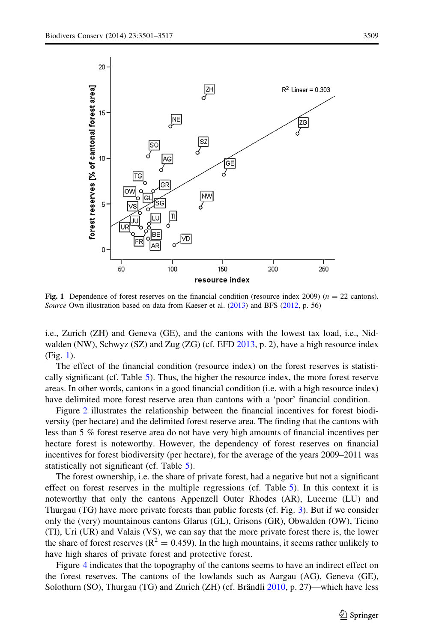<span id="page-9-0"></span>

Fig. 1 Dependence of forest reserves on the financial condition (resource index 2009) ( $n = 22$  cantons). Source Own illustration based on data from Kaeser et al. ([2013\)](#page-16-0) and BFS [\(2012](#page-16-0), p. 56)

i.e., Zurich (ZH) and Geneva (GE), and the cantons with the lowest tax load, i.e., Nid-walden (NW), Schwyz (SZ) and Zug (ZG) (cf. EFD [2013](#page-16-0), p. 2), have a high resource index (Fig. 1).

The effect of the financial condition (resource index) on the forest reserves is statistically significant (cf. Table  $5$ ). Thus, the higher the resource index, the more forest reserve areas. In other words, cantons in a good financial condition (i.e. with a high resource index) have delimited more forest reserve area than cantons with a 'poor' financial condition.

Figure [2](#page-10-0) illustrates the relationship between the financial incentives for forest biodiversity (per hectare) and the delimited forest reserve area. The finding that the cantons with less than 5 % forest reserve area do not have very high amounts of financial incentives per hectare forest is noteworthy. However, the dependency of forest reserves on financial incentives for forest biodiversity (per hectare), for the average of the years 2009–2011 was statistically not significant (cf. Table [5\)](#page-8-0).

The forest ownership, i.e. the share of private forest, had a negative but not a significant effect on forest reserves in the multiple regressions (cf. Table [5\)](#page-8-0). In this context it is noteworthy that only the cantons Appenzell Outer Rhodes (AR), Lucerne (LU) and Thurgau (TG) have more private forests than public forests (cf. Fig. [3](#page-10-0)). But if we consider only the (very) mountainous cantons Glarus (GL), Grisons (GR), Obwalden (OW), Ticino (TI), Uri (UR) and Valais (VS), we can say that the more private forest there is, the lower the share of forest reserves ( $R^2 = 0.459$ ). In the high mountains, it seems rather unlikely to have high shares of private forest and protective forest.

Figure [4](#page-11-0) indicates that the topography of the cantons seems to have an indirect effect on the forest reserves. The cantons of the lowlands such as Aargau (AG), Geneva (GE), Solothurn (SO), Thurgau (TG) and Zurich (ZH) (cf. Brändli [2010](#page-16-0), p. 27)—which have less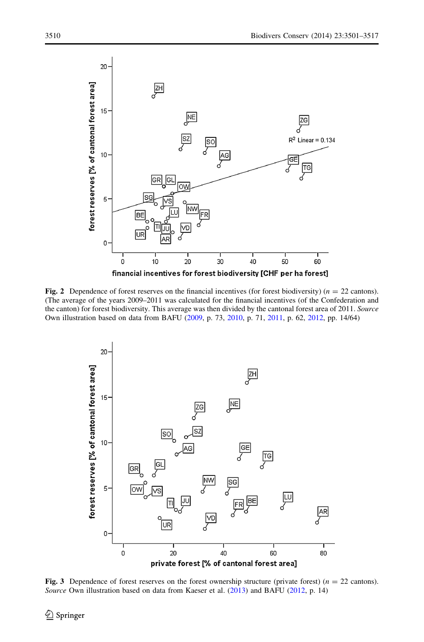<span id="page-10-0"></span>

Fig. 2 Dependence of forest reserves on the financial incentives (for forest biodiversity) ( $n = 22$  cantons). (The average of the years 2009–2011 was calculated for the financial incentives (of the Confederation and the canton) for forest biodiversity. This average was then divided by the cantonal forest area of 2011. Source Own illustration based on data from BAFU ([2009,](#page-16-0) p. 73, [2010,](#page-16-0) p. 71, [2011](#page-16-0), p. 62, [2012](#page-16-0), pp. 14/64)



Fig. 3 Dependence of forest reserves on the forest ownership structure (private forest) ( $n = 22$  cantons). Source Own illustration based on data from Kaeser et al. ([2013\)](#page-16-0) and BAFU [\(2012](#page-16-0), p. 14)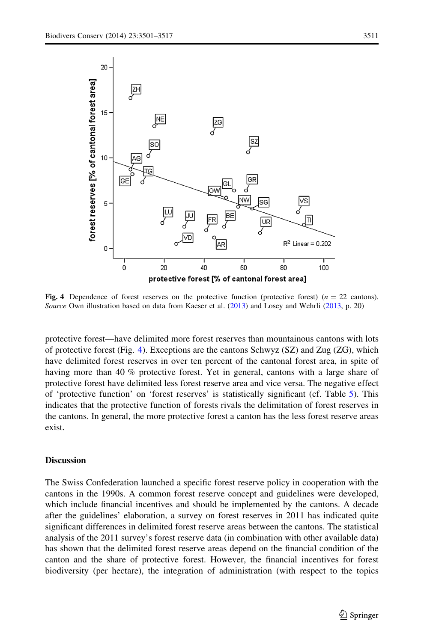<span id="page-11-0"></span>

Fig. 4 Dependence of forest reserves on the protective function (protective forest) ( $n = 22$  cantons). Source Own illustration based on data from Kaeser et al. ([2013\)](#page-16-0) and Losey and Wehrli ([2013,](#page-17-0) p. 20)

protective forest—have delimited more forest reserves than mountainous cantons with lots of protective forest (Fig. 4). Exceptions are the cantons Schwyz (SZ) and Zug (ZG), which have delimited forest reserves in over ten percent of the cantonal forest area, in spite of having more than 40 % protective forest. Yet in general, cantons with a large share of protective forest have delimited less forest reserve area and vice versa. The negative effect of 'protective function' on 'forest reserves' is statistically significant (cf. Table [5\)](#page-8-0). This indicates that the protective function of forests rivals the delimitation of forest reserves in the cantons. In general, the more protective forest a canton has the less forest reserve areas exist.

# **Discussion**

The Swiss Confederation launched a specific forest reserve policy in cooperation with the cantons in the 1990s. A common forest reserve concept and guidelines were developed, which include financial incentives and should be implemented by the cantons. A decade after the guidelines' elaboration, a survey on forest reserves in 2011 has indicated quite significant differences in delimited forest reserve areas between the cantons. The statistical analysis of the 2011 survey's forest reserve data (in combination with other available data) has shown that the delimited forest reserve areas depend on the financial condition of the canton and the share of protective forest. However, the financial incentives for forest biodiversity (per hectare), the integration of administration (with respect to the topics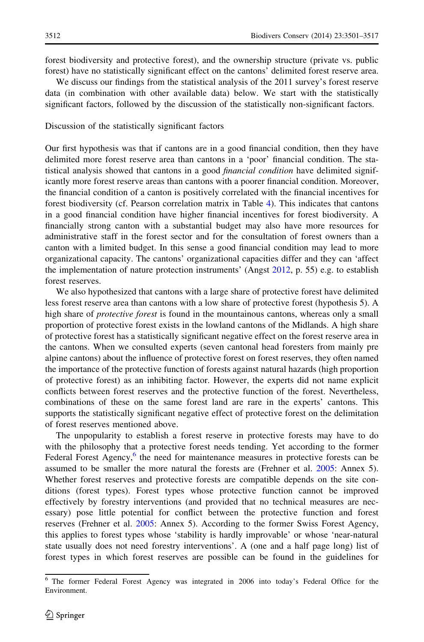forest biodiversity and protective forest), and the ownership structure (private vs. public forest) have no statistically significant effect on the cantons' delimited forest reserve area.

We discuss our findings from the statistical analysis of the 2011 survey's forest reserve data (in combination with other available data) below. We start with the statistically significant factors, followed by the discussion of the statistically non-significant factors.

## Discussion of the statistically significant factors

Our first hypothesis was that if cantons are in a good financial condition, then they have delimited more forest reserve area than cantons in a 'poor' financial condition. The statistical analysis showed that cantons in a good *financial condition* have delimited significantly more forest reserve areas than cantons with a poorer financial condition. Moreover, the financial condition of a canton is positively correlated with the financial incentives for forest biodiversity (cf. Pearson correlation matrix in Table [4\)](#page-8-0). This indicates that cantons in a good financial condition have higher financial incentives for forest biodiversity. A financially strong canton with a substantial budget may also have more resources for administrative staff in the forest sector and for the consultation of forest owners than a canton with a limited budget. In this sense a good financial condition may lead to more organizational capacity. The cantons' organizational capacities differ and they can 'affect the implementation of nature protection instruments' (Angst [2012](#page-16-0), p. 55) e.g. to establish forest reserves.

We also hypothesized that cantons with a large share of protective forest have delimited less forest reserve area than cantons with a low share of protective forest (hypothesis 5). A high share of *protective forest* is found in the mountainous cantons, whereas only a small proportion of protective forest exists in the lowland cantons of the Midlands. A high share of protective forest has a statistically significant negative effect on the forest reserve area in the cantons. When we consulted experts (seven cantonal head foresters from mainly pre alpine cantons) about the influence of protective forest on forest reserves, they often named the importance of the protective function of forests against natural hazards (high proportion of protective forest) as an inhibiting factor. However, the experts did not name explicit conflicts between forest reserves and the protective function of the forest. Nevertheless, combinations of these on the same forest land are rare in the experts' cantons. This supports the statistically significant negative effect of protective forest on the delimitation of forest reserves mentioned above.

The unpopularity to establish a forest reserve in protective forests may have to do with the philosophy that a protective forest needs tending. Yet according to the former Federal Forest Agency, $6$  the need for maintenance measures in protective forests can be assumed to be smaller the more natural the forests are (Frehner et al. [2005:](#page-16-0) Annex 5). Whether forest reserves and protective forests are compatible depends on the site conditions (forest types). Forest types whose protective function cannot be improved effectively by forestry interventions (and provided that no technical measures are necessary) pose little potential for conflict between the protective function and forest reserves (Frehner et al. [2005:](#page-16-0) Annex 5). According to the former Swiss Forest Agency, this applies to forest types whose 'stability is hardly improvable' or whose 'near-natural state usually does not need forestry interventions'. A (one and a half page long) list of forest types in which forest reserves are possible can be found in the guidelines for

<sup>6</sup> The former Federal Forest Agency was integrated in 2006 into today's Federal Office for the Environment.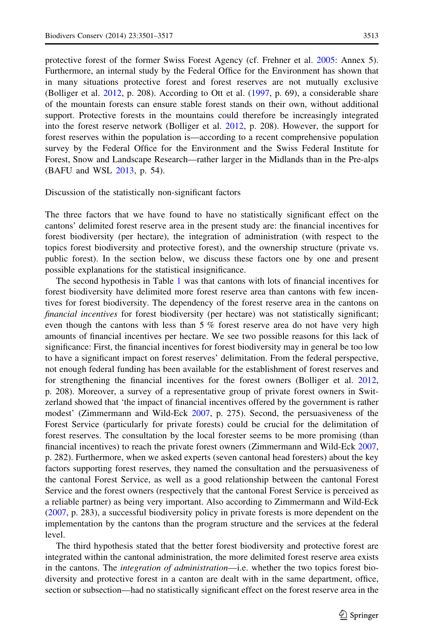protective forest of the former Swiss Forest Agency (cf. Frehner et al. [2005](#page-16-0): Annex 5). Furthermore, an internal study by the Federal Office for the Environment has shown that in many situations protective forest and forest reserves are not mutually exclusive (Bolliger et al. [2012](#page-16-0), p. 208). According to Ott et al. ([1997](#page-17-0), p. 69), a considerable share of the mountain forests can ensure stable forest stands on their own, without additional support. Protective forests in the mountains could therefore be increasingly integrated into the forest reserve network (Bolliger et al. [2012,](#page-16-0) p. 208). However, the support for forest reserves within the population is—according to a recent comprehensive population survey by the Federal Office for the Environment and the Swiss Federal Institute for Forest, Snow and Landscape Research—rather larger in the Midlands than in the Pre-alps (BAFU and WSL [2013](#page-16-0), p. 54).

# Discussion of the statistically non-significant factors

The three factors that we have found to have no statistically significant effect on the cantons' delimited forest reserve area in the present study are: the financial incentives for forest biodiversity (per hectare), the integration of administration (with respect to the topics forest biodiversity and protective forest), and the ownership structure (private vs. public forest). In the section below, we discuss these factors one by one and present possible explanations for the statistical insignificance.

The second hypothesis in Table [1](#page-6-0) was that cantons with lots of financial incentives for forest biodiversity have delimited more forest reserve area than cantons with few incentives for forest biodiversity. The dependency of the forest reserve area in the cantons on financial incentives for forest biodiversity (per hectare) was not statistically significant; even though the cantons with less than 5 % forest reserve area do not have very high amounts of financial incentives per hectare. We see two possible reasons for this lack of significance: First, the financial incentives for forest biodiversity may in general be too low to have a significant impact on forest reserves' delimitation. From the federal perspective, not enough federal funding has been available for the establishment of forest reserves and for strengthening the financial incentives for the forest owners (Bolliger et al. [2012](#page-16-0), p. 208). Moreover, a survey of a representative group of private forest owners in Switzerland showed that 'the impact of financial incentives offered by the government is rather modest' (Zimmermann and Wild-Eck [2007,](#page-17-0) p. 275). Second, the persuasiveness of the Forest Service (particularly for private forests) could be crucial for the delimitation of forest reserves. The consultation by the local forester seems to be more promising (than financial incentives) to reach the private forest owners (Zimmermann and Wild-Eck [2007](#page-17-0), p. 282). Furthermore, when we asked experts (seven cantonal head foresters) about the key factors supporting forest reserves, they named the consultation and the persuasiveness of the cantonal Forest Service, as well as a good relationship between the cantonal Forest Service and the forest owners (respectively that the cantonal Forest Service is perceived as a reliable partner) as being very important. Also according to Zimmermann and Wild-Eck ([2007,](#page-17-0) p. 283), a successful biodiversity policy in private forests is more dependent on the implementation by the cantons than the program structure and the services at the federal level.

The third hypothesis stated that the better forest biodiversity and protective forest are integrated within the cantonal administration, the more delimited forest reserve area exists in the cantons. The *integration of administration*—i.e. whether the two topics forest biodiversity and protective forest in a canton are dealt with in the same department, office, section or subsection—had no statistically significant effect on the forest reserve area in the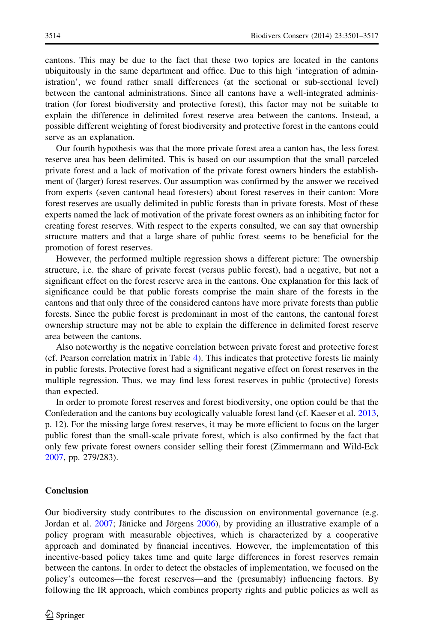cantons. This may be due to the fact that these two topics are located in the cantons ubiquitously in the same department and office. Due to this high 'integration of administration', we found rather small differences (at the sectional or sub-sectional level) between the cantonal administrations. Since all cantons have a well-integrated administration (for forest biodiversity and protective forest), this factor may not be suitable to explain the difference in delimited forest reserve area between the cantons. Instead, a possible different weighting of forest biodiversity and protective forest in the cantons could serve as an explanation.

Our fourth hypothesis was that the more private forest area a canton has, the less forest reserve area has been delimited. This is based on our assumption that the small parceled private forest and a lack of motivation of the private forest owners hinders the establishment of (larger) forest reserves. Our assumption was confirmed by the answer we received from experts (seven cantonal head foresters) about forest reserves in their canton: More forest reserves are usually delimited in public forests than in private forests. Most of these experts named the lack of motivation of the private forest owners as an inhibiting factor for creating forest reserves. With respect to the experts consulted, we can say that ownership structure matters and that a large share of public forest seems to be beneficial for the promotion of forest reserves.

However, the performed multiple regression shows a different picture: The ownership structure, i.e. the share of private forest (versus public forest), had a negative, but not a significant effect on the forest reserve area in the cantons. One explanation for this lack of significance could be that public forests comprise the main share of the forests in the cantons and that only three of the considered cantons have more private forests than public forests. Since the public forest is predominant in most of the cantons, the cantonal forest ownership structure may not be able to explain the difference in delimited forest reserve area between the cantons.

Also noteworthy is the negative correlation between private forest and protective forest (cf. Pearson correlation matrix in Table [4](#page-8-0)). This indicates that protective forests lie mainly in public forests. Protective forest had a significant negative effect on forest reserves in the multiple regression. Thus, we may find less forest reserves in public (protective) forests than expected.

In order to promote forest reserves and forest biodiversity, one option could be that the Confederation and the cantons buy ecologically valuable forest land (cf. Kaeser et al. [2013](#page-16-0), p. 12). For the missing large forest reserves, it may be more efficient to focus on the larger public forest than the small-scale private forest, which is also confirmed by the fact that only few private forest owners consider selling their forest (Zimmermann and Wild-Eck [2007,](#page-17-0) pp. 279/283).

#### Conclusion

Our biodiversity study contributes to the discussion on environmental governance (e.g. Jordan et al. [2007](#page-16-0); Jänicke and Jörgens [2006](#page-16-0)), by providing an illustrative example of a policy program with measurable objectives, which is characterized by a cooperative approach and dominated by financial incentives. However, the implementation of this incentive-based policy takes time and quite large differences in forest reserves remain between the cantons. In order to detect the obstacles of implementation, we focused on the policy's outcomes—the forest reserves—and the (presumably) influencing factors. By following the IR approach, which combines property rights and public policies as well as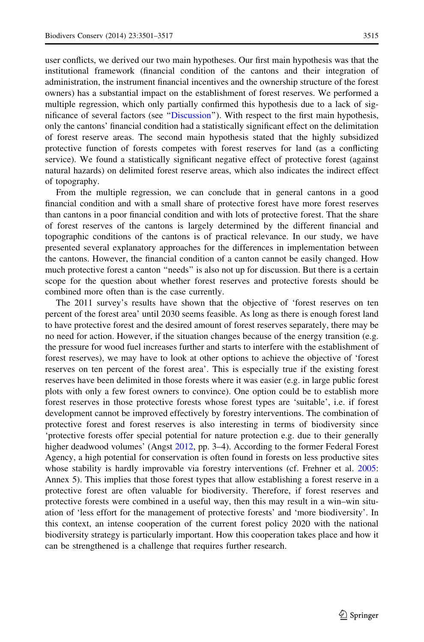user conflicts, we derived our two main hypotheses. Our first main hypothesis was that the institutional framework (financial condition of the cantons and their integration of administration, the instrument financial incentives and the ownership structure of the forest owners) has a substantial impact on the establishment of forest reserves. We performed a multiple regression, which only partially confirmed this hypothesis due to a lack of significance of several factors (see "Discussion"). With respect to the first main hypothesis, only the cantons' financial condition had a statistically significant effect on the delimitation of forest reserve areas. The second main hypothesis stated that the highly subsidized protective function of forests competes with forest reserves for land (as a conflicting service). We found a statistically significant negative effect of protective forest (against natural hazards) on delimited forest reserve areas, which also indicates the indirect effect of topography.

From the multiple regression, we can conclude that in general cantons in a good financial condition and with a small share of protective forest have more forest reserves than cantons in a poor financial condition and with lots of protective forest. That the share of forest reserves of the cantons is largely determined by the different financial and topographic conditions of the cantons is of practical relevance. In our study, we have presented several explanatory approaches for the differences in implementation between the cantons. However, the financial condition of a canton cannot be easily changed. How much protective forest a canton ''needs'' is also not up for discussion. But there is a certain scope for the question about whether forest reserves and protective forests should be combined more often than is the case currently.

The 2011 survey's results have shown that the objective of 'forest reserves on ten percent of the forest area' until 2030 seems feasible. As long as there is enough forest land to have protective forest and the desired amount of forest reserves separately, there may be no need for action. However, if the situation changes because of the energy transition (e.g. the pressure for wood fuel increases further and starts to interfere with the establishment of forest reserves), we may have to look at other options to achieve the objective of 'forest reserves on ten percent of the forest area'. This is especially true if the existing forest reserves have been delimited in those forests where it was easier (e.g. in large public forest plots with only a few forest owners to convince). One option could be to establish more forest reserves in those protective forests whose forest types are 'suitable', i.e. if forest development cannot be improved effectively by forestry interventions. The combination of protective forest and forest reserves is also interesting in terms of biodiversity since 'protective forests offer special potential for nature protection e.g. due to their generally higher deadwood volumes' (Angst [2012](#page-16-0), pp. 3–4). According to the former Federal Forest Agency, a high potential for conservation is often found in forests on less productive sites whose stability is hardly improvable via forestry interventions (cf. Frehner et al. [2005:](#page-16-0) Annex 5). This implies that those forest types that allow establishing a forest reserve in a protective forest are often valuable for biodiversity. Therefore, if forest reserves and protective forests were combined in a useful way, then this may result in a win–win situation of 'less effort for the management of protective forests' and 'more biodiversity'. In this context, an intense cooperation of the current forest policy 2020 with the national biodiversity strategy is particularly important. How this cooperation takes place and how it can be strengthened is a challenge that requires further research.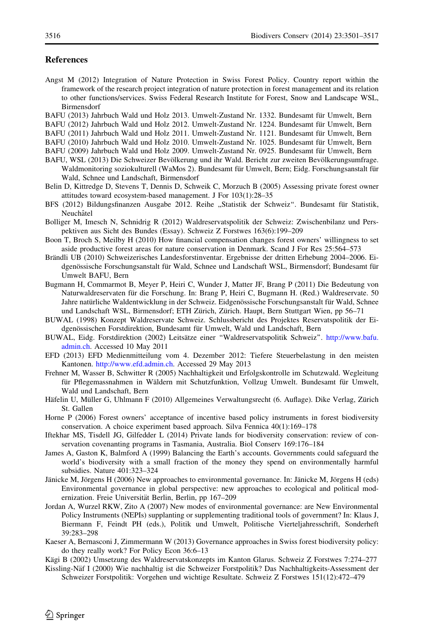#### <span id="page-16-0"></span>**References**

- Angst M (2012) Integration of Nature Protection in Swiss Forest Policy. Country report within the framework of the research project integration of nature protection in forest management and its relation to other functions/services. Swiss Federal Research Institute for Forest, Snow and Landscape WSL, Birmensdorf
- BAFU (2013) Jahrbuch Wald und Holz 2013. Umwelt-Zustand Nr. 1332. Bundesamt für Umwelt, Bern
- BAFU (2012) Jahrbuch Wald und Holz 2012. Umwelt-Zustand Nr. 1224. Bundesamt für Umwelt, Bern
- BAFU (2011) Jahrbuch Wald und Holz 2011. Umwelt-Zustand Nr. 1121. Bundesamt für Umwelt, Bern
- BAFU (2010) Jahrbuch Wald und Holz 2010. Umwelt-Zustand Nr. 1025. Bundesamt für Umwelt, Bern
- BAFU (2009) Jahrbuch Wald und Holz 2009. Umwelt-Zustand Nr. 0925. Bundesamt für Umwelt, Bern
- BAFU, WSL (2013) Die Schweizer Bevölkerung und ihr Wald. Bericht zur zweiten Bevölkerungsumfrage. Waldmonitoring soziokulturell (WaMos 2). Bundesamt für Umwelt, Bern; Eidg. Forschungsanstalt für Wald, Schnee und Landschaft, Birmensdorf
- Belin D, Kittredge D, Stevens T, Dennis D, Schweik C, Morzuch B (2005) Assessing private forest owner attitudes toward ecosystem-based management. J For 103(1):28–35
- BFS (2012) Bildungsfinanzen Ausgabe 2012. Reihe "Statistik der Schweiz". Bundesamt für Statistik, Neuchâtel
- Bolliger M, Imesch N, Schnidrig R (2012) Waldreservatspolitik der Schweiz: Zwischenbilanz und Perspektiven aus Sicht des Bundes (Essay). Schweiz Z Forstwes 163(6):199–209
- Boon T, Broch S, Meilby H (2010) How financial compensation changes forest owners' willingness to set aside productive forest areas for nature conservation in Denmark. Scand J For Res 25:564–573
- Brändli UB (2010) Schweizerisches Landesforstinventar. Ergebnisse der dritten Erhebung 2004–2006. Eidgenössische Forschungsanstalt für Wald, Schnee und Landschaft WSL, Birmensdorf; Bundesamt für Umwelt BAFU, Bern
- Bugmann H, Commarmot B, Meyer P, Heiri C, Wunder J, Matter JF, Brang P (2011) Die Bedeutung von Naturwaldreservaten für die Forschung. In: Brang P, Heiri C, Bugmann H. (Red.) Waldreservate. 50 Jahre natürliche Waldentwicklung in der Schweiz. Eidgenössische Forschungsanstalt für Wald, Schnee und Landschaft WSL, Birmensdorf; ETH Zürich, Zürich. Haupt, Bern Stuttgart Wien, pp 56-71
- BUWAL (1998) Konzept Waldreservate Schweiz. Schlussbericht des Projektes Reservatspolitik der Eidgenössischen Forstdirektion, Bundesamt für Umwelt, Wald und Landschaft, Bern
- BUWAL, Eidg. Forstdirektion (2002) Leitsätze einer "Waldreservatspolitik Schweiz". [http://www.bafu.](http://www.bafu.admin.ch) [admin.ch](http://www.bafu.admin.ch). Accessed 10 May 2011
- EFD (2013) EFD Medienmitteilung vom 4. Dezember 2012: Tiefere Steuerbelastung in den meisten Kantonen. <http://www.efd.admin.ch>. Accessed 29 May 2013
- Frehner M, Wasser B, Schwitter R (2005) Nachhaltigkeit und Erfolgskontrolle im Schutzwald. Wegleitung für Pflegemassnahmen in Wäldern mit Schutzfunktion, Vollzug Umwelt. Bundesamt für Umwelt, Wald und Landschaft, Bern
- Häfelin U, Müller G, Uhlmann F (2010) Allgemeines Verwaltungsrecht (6. Auflage). Dike Verlag, Zürich St. Gallen
- Horne P (2006) Forest owners' acceptance of incentive based policy instruments in forest biodiversity conservation. A choice experiment based approach. Silva Fennica 40(1):169–178
- Iftekhar MS, Tisdell JG, Gilfedder L (2014) Private lands for biodiversity conservation: review of conservation covenanting programs in Tasmania, Australia. Biol Conserv 169:176–184
- James A, Gaston K, Balmford A (1999) Balancing the Earth's accounts. Governments could safeguard the world's biodiversity with a small fraction of the money they spend on environmentally harmful subsidies. Nature 401:323–324
- Jänicke M, Jörgens H (2006) New approaches to environmental governance. In: Jänicke M, Jörgens H (eds) Environmental governance in global perspective: new approaches to ecological and political modernization. Freie Universität Berlin, Berlin, pp 167–209
- Jordan A, Wurzel RKW, Zito A (2007) New modes of environmental governance: are New Environmental Policy Instruments (NEPIs) supplanting or supplementing traditional tools of government? In: Klaus J, Biermann F, Feindt PH (eds.), Politik und Umwelt, Politische Vierteljahresschrift, Sonderheft 39:283–298
- Kaeser A, Bernasconi J, Zimmermann W (2013) Governance approaches in Swiss forest biodiversity policy: do they really work? For Policy Econ 36:6–13

Kägi B (2002) Umsetzung des Waldreservatskonzepts im Kanton Glarus. Schweiz Z Forstwes 7:274-277

Kissling-Näf I (2000) Wie nachhaltig ist die Schweizer Forstpolitik? Das Nachhaltigkeits-Assessment der Schweizer Forstpolitik: Vorgehen und wichtige Resultate. Schweiz Z Forstwes 151(12):472–479